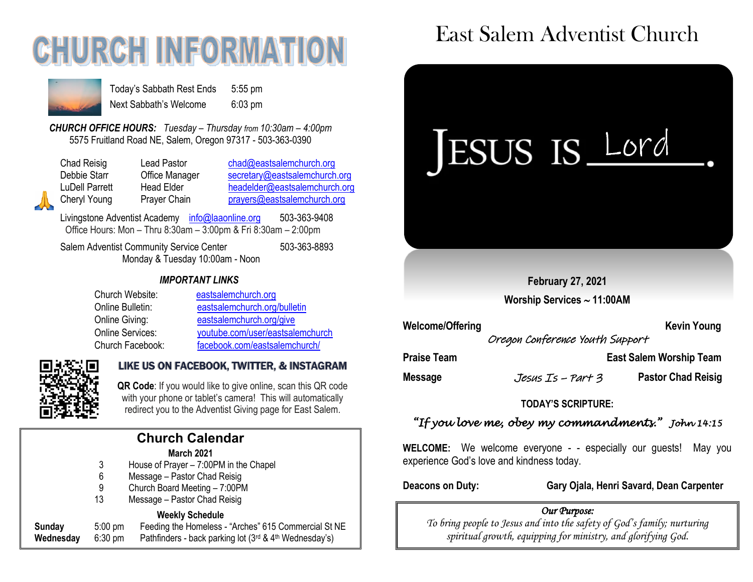# **CHURCH INFORMATION**



Today's Sabbath Rest Ends 5:55 pm Next Sabbath's Welcome 6:03 pm

*CHURCH OFFICE HOURS: Tuesday – Thursday from 10:30am – 4:00pm* 5575 Fruitland Road NE, Salem, Oregon 97317 - 503-363-0390

Chad Reisig Chad Pastor Chad@eastsalemchurch.org Debbie Starr **Office Manager** [secretary@eastsalemchurch.org](mailto:secretary@eastsalemchurch.org) LuDell Parrett Head Elder [headelder@eastsalemchurch.org](mailto:headelder@eastsalemchurch.org) Cheryl Young Prayer Chain [prayers@eastsalemchurch.org](mailto:prayers@eastsalemchurch.org)

Livingstone Adventist Academy [info@laaonline.org](mailto:info@laaonline.org) 503-363-9408 Office Hours: Mon – Thru 8:30am – 3:00pm & Fri 8:30am – 2:00pm

Salem Adventist Community Service Center 503-363-8893 Monday & Tuesday 10:00am - Noon

### *IMPORTANT LINKS*

| Church Website:  | eastsalemchurch.org              |
|------------------|----------------------------------|
| Online Bulletin: | eastsalemchurch.org/bulletin     |
| Online Giving:   | eastsalemchurch.org/give         |
| Online Services: | youtube.com/user/eastsalemchurch |
| Church Facebook: | facebook.com/eastsalemchurch/    |



### LIKE US ON FACEBOOK, TWITTER, & INSTAGRAM

**QR Code**: If you would like to give online, scan this QR code with your phone or tablet's camera! This will automatically redirect you to the Adventist Giving page for East Salem.

|    | with your phone or tablet's camera! This will automa<br>redirect you to the Adventist Giving page for East Sa |
|----|---------------------------------------------------------------------------------------------------------------|
|    | <b>Church Calendar</b>                                                                                        |
|    | <b>March 2021</b>                                                                                             |
| 3  | House of Prayer - 7:00PM in the Chapel                                                                        |
| 6  | Message - Pastor Chad Reisig                                                                                  |
| 9  | Church Board Meeting - 7:00PM                                                                                 |
| 13 | Message - Pastor Chad Reisig                                                                                  |
|    |                                                                                                               |

#### **Weekly Schedule**

| Sunday    | $5:00 \text{ pm}$ | Feeding the Homeless - "Arches" 615 Commercial St NE                    |
|-----------|-------------------|-------------------------------------------------------------------------|
| Wednesday | $6:30 \text{ pm}$ | Pathfinders - back parking lot $(3^{rd}$ & 4 <sup>th</sup> Wednesday's) |

## East Salem Adventist Church



Welcome/Offering **Kevin Young** Kevin Young

Oregon Conference Youth Support

**Praise Team Constraining Team Constraining Team Constraining Team Praise Team Account Team Account Team Account** 

**Message** Jesus Is – Part 3 **Pastor Chad Reisig**

### **TODAY'S SCRIPTURE:**

### *"If you love me, obey my commandments." John 14:15*

**WELCOME:** We welcome everyone - - especially our guests! May you experience God's love and kindness today.

**Deacons on Duty: Gary Ojala, Henri Savard, Dean Carpenter**

### *Our Purpose:*

*To bring people to Jesus and into the safety of God's family; nurturing spiritual growth, equipping for ministry, and glorifying God.*